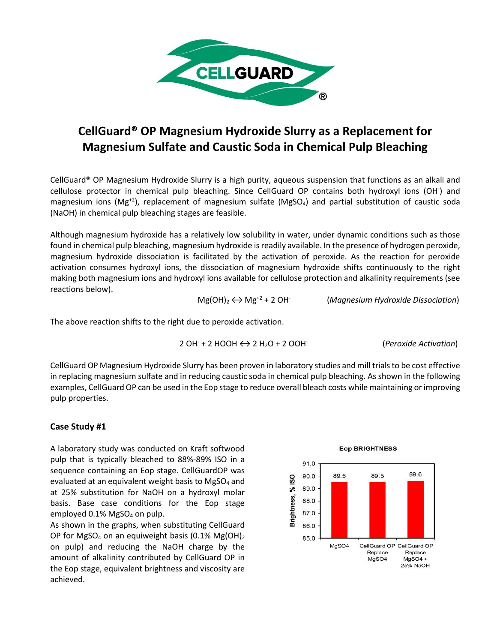

# **CellGuard® OP Magnesium Hydroxide Slurry as a Replacement for Magnesium Sulfate and Caustic Soda in Chemical Pulp Bleaching**

CellGuard® OP Magnesium Hydroxide Slurry is a high purity, aqueous suspension that functions as an alkali and cellulose protector in chemical pulp bleaching. Since CellGuard OP contains both hydroxyl ions (OH- ) and magnesium ions ( $Mg^{+2}$ ), replacement of magnesium sulfate ( $MgSO<sub>4</sub>$ ) and partial substitution of caustic soda (NaOH) in chemical pulp bleaching stages are feasible.

Although magnesium hydroxide has a relatively low solubility in water, under dynamic conditions such as those found in chemical pulp bleaching, magnesium hydroxide is readily available. In the presence of hydrogen peroxide, magnesium hydroxide dissociation is facilitated by the activation of peroxide. As the reaction for peroxide activation consumes hydroxyl ions, the dissociation of magnesium hydroxide shifts continuously to the right making both magnesium ions and hydroxyl ions available for cellulose protection and alkalinity requirements (see reactions below).

 $Mg(OH)_2 \leftrightarrow Mg^{+2} + 2 OH^-$ (*Magnesium Hydroxide Dissociation*)

The above reaction shifts to the right due to peroxide activation.

$$
2 OH+ + 2 HOOH \leftrightarrow 2 H2O + 2 OOH
$$
 (*Peroxide Activation*)

CellGuard OP Magnesium Hydroxide Slurry has been proven in laboratory studies and mill trials to be cost effective in replacing magnesium sulfate and in reducing caustic soda in chemical pulp bleaching. As shown in the following examples, CellGuard OP can be used in the Eop stage to reduce overall bleach costs while maintaining or improving pulp properties.

## **Case Study #1**

A laboratory study was conducted on Kraft softwood pulp that is typically bleached to 88%-89% ISO in a sequence containing an Eop stage. CellGuardOP was evaluated at an equivalent weight basis to MgSO<sub>4</sub> and at 25% substitution for NaOH on a hydroxyl molar basis. Base case conditions for the Eop stage employed 0.1% MgSO<sub>4</sub> on pulp.

As shown in the graphs, when substituting CellGuard OP for MgSO<sub>4</sub> on an equiweight basis (0.1% Mg(OH)<sub>2</sub> on pulp) and reducing the NaOH charge by the amount of alkalinity contributed by CellGuard OP in the Eop stage, equivalent brightness and viscosity are achieved.



### **Eop BRIGHTNESS**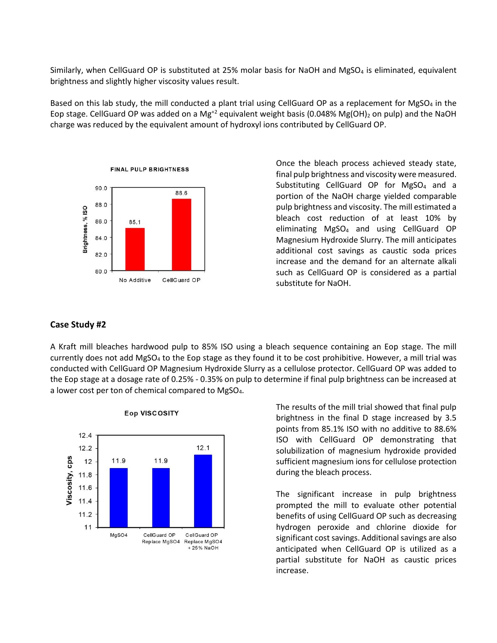Similarly, when CellGuard OP is substituted at 25% molar basis for NaOH and MgSO<sub>4</sub> is eliminated, equivalent brightness and slightly higher viscosity values result.

Based on this lab study, the mill conducted a plant trial using CellGuard OP as a replacement for MgSO<sub>4</sub> in the Eop stage. CellGuard OP was added on a Mg<sup>+2</sup> equivalent weight basis (0.048% Mg(OH)<sub>2</sub> on pulp) and the NaOH charge was reduced by the equivalent amount of hydroxyl ions contributed by CellGuard OP.



Once the bleach process achieved steady state, final pulp brightness and viscosity were measured. Substituting CellGuard OP for MgSO<sub>4</sub> and a portion of the NaOH charge yielded comparable pulp brightness and viscosity. The mill estimated a bleach cost reduction of at least 10% by eliminating MgSO<sup>4</sup> and using CellGuard OP Magnesium Hydroxide Slurry. The mill anticipates additional cost savings as caustic soda prices increase and the demand for an alternate alkali such as CellGuard OP is considered as a partial substitute for NaOH.

## **Case Study #2**

A Kraft mill bleaches hardwood pulp to 85% ISO using a bleach sequence containing an Eop stage. The mill currently does not add MgSO<sub>4</sub> to the Eop stage as they found it to be cost prohibitive. However, a mill trial was conducted with CellGuard OP Magnesium Hydroxide Slurry as a cellulose protector. CellGuard OP was added to the Eop stage at a dosage rate of 0.25% - 0.35% on pulp to determine if final pulp brightness can be increased at a lower cost per ton of chemical compared to MgSO4.



#### **Eop VISCOSITY**

The results of the mill trial showed that final pulp brightness in the final D stage increased by 3.5 points from 85.1% ISO with no additive to 88.6% ISO with CellGuard OP demonstrating that solubilization of magnesium hydroxide provided sufficient magnesium ions for cellulose protection during the bleach process.

The significant increase in pulp brightness prompted the mill to evaluate other potential benefits of using CellGuard OP such as decreasing hydrogen peroxide and chlorine dioxide for significant cost savings. Additional savings are also anticipated when CellGuard OP is utilized as a partial substitute for NaOH as caustic prices increase.